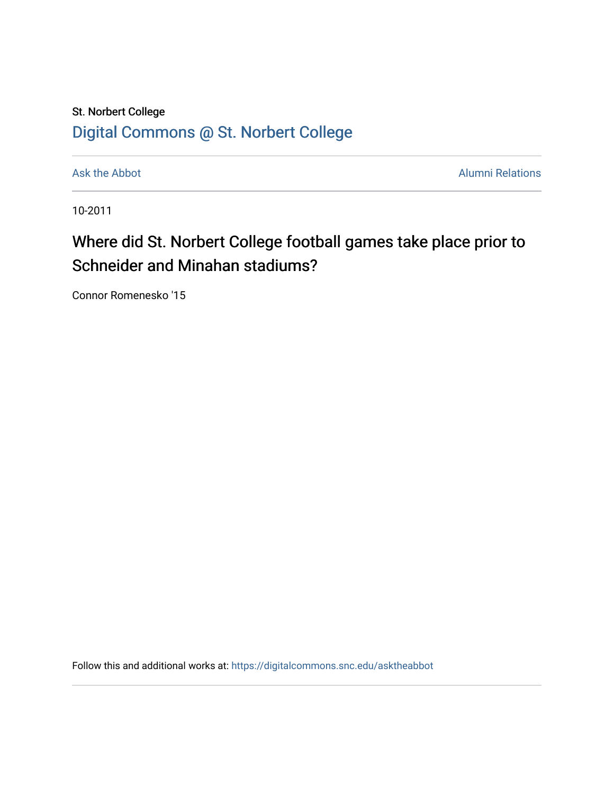## St. Norbert College [Digital Commons @ St. Norbert College](https://digitalcommons.snc.edu/)

[Ask the Abbot](https://digitalcommons.snc.edu/asktheabbot) **Alumni Relations** Alumni Relations

10-2011

## Where did St. Norbert College football games take place prior to Schneider and Minahan stadiums?

Connor Romenesko '15

Follow this and additional works at: [https://digitalcommons.snc.edu/asktheabbot](https://digitalcommons.snc.edu/asktheabbot?utm_source=digitalcommons.snc.edu%2Fasktheabbot%2F63&utm_medium=PDF&utm_campaign=PDFCoverPages)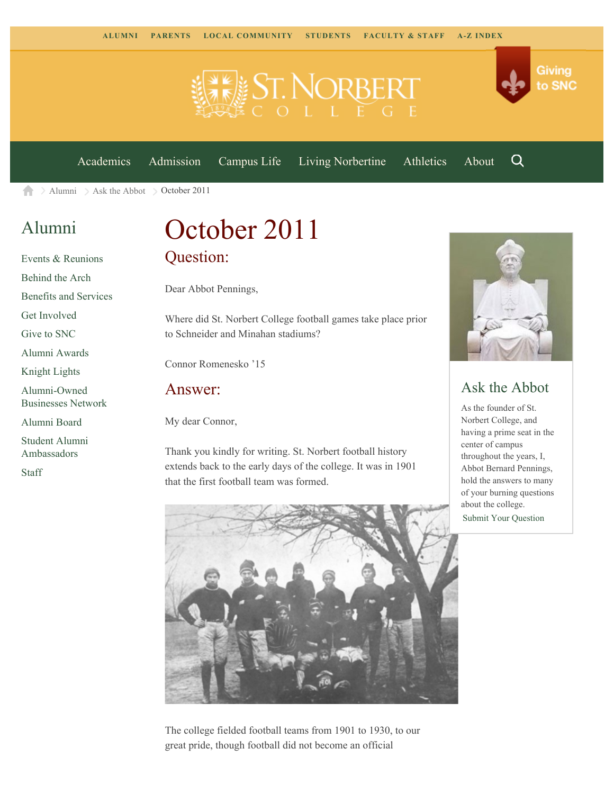

[Academics](https://www.snc.edu/academics) [Admission](https://www.snc.edu/admission) [Campus Life](https://www.snc.edu/campuslife) [Living Norbertine](https://www.snc.edu/livingnorbertine) [Athletics](https://www.snc.edu/athletics) [About](https://www.snc.edu/about)

Q

Giving

to SNC

 $\geq$  [Alumni](https://www.snc.edu/alumni/)  $\geq$  [Ask the Abbot](https://www.snc.edu/alumni/abbot/)  $\geq$  October 2011 A.

### [Alumni](https://www.snc.edu/alumni/index.html)

[Events & Reunions](https://www.snc.edu/alumni/event/index.html) [Behind the Arch](https://www.snc.edu/alumni/event/behindthearch/) [Benefits and Services](https://www.snc.edu/alumni/benefits.html) [Get Involved](https://www.snc.edu/alumni/getinvolved.html) [Give to SNC](http://giving.snc.edu/) [Alumni Awards](https://www.snc.edu/alumni/awards/index.html) [Knight Lights](https://www.snc.edu/alumni/knightlights/index.html) [Alumni-Owned](https://www.snc.edu/alumni/directory/index.html) [Businesses Network](https://www.snc.edu/alumni/directory/index.html) [Alumni Board](https://www.snc.edu/alumni/alumniboard.html) [Student Alumni](https://www.snc.edu/alumni/saa.html) [Ambassadors](https://www.snc.edu/alumni/saa.html)

[Staff](https://www.snc.edu/alumni/contactus.html)

# October 2011 Question:

Dear Abbot Pennings,

Where did St. Norbert College football games take place prior to Schneider and Minahan stadiums?

Connor Romenesko '15

#### Answer:

My dear Connor,

Thank you kindly for writing. St. Norbert football history extends back to the early days of the college. It was in 1901 that the first football team was formed.



#### Ask the Abbot

As the founder of St. Norbert College, and having a prime seat in the center of campus throughout the years, I, Abbot Bernard Pennings, hold the answers to many of your burning questions about the college.

[Submit Your Question](https://www.snc.edu/alumni/abbot/index.html)



The college fielded football teams from 1901 to 1930, to our great pride, though football did not become an official